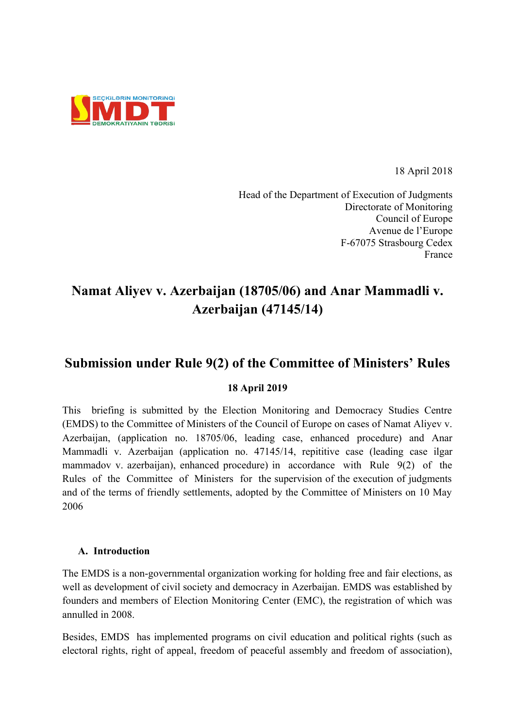

18 April 2018

Head of the Department of Execution of Judgments Directorate of Monitoring Council of Europe Avenue de l'Europe F-67075 Strasbourg Cedex France

# **Namat Aliyev v. Azerbaijan (18705/06) and Anar Mammadli v. Azerbaijan (47145/14)**

## **Submission under Rule 9(2) of the Committee of Ministers' Rules**

## **18 April 2019**

This briefing is submitted by the Election Monitoring and Democracy Studies Centre (EMDS) to the Committee of Ministers of the Council of Europe on cases of Namat Aliyev v. Azerbaijan, (application no. 18705/06, leading case, enhanced procedure) and Anar Mammadli v. Azerbaijan (application no. 47145/14, repititive case (leading case ilgar mammadov v. azerbaijan), enhanced procedure) in accordance with Rule 9(2) of the Rules of the Committee of Ministers for the supervision of the execution of judgments and of the terms of friendly settlements, adopted by the Committee of Ministers on 10 May 2006

## **A. Introduction**

The EMDS is a non-governmental organization working for holding free and fair elections, as well as development of civil society and democracy in Azerbaijan. EMDS was established by founders and members of Election Monitoring Center (EMC), the registration of which was annulled in 2008.

Besides, EMDS has implemented programs on civil education and political rights (such as electoral rights, right of appeal, freedom of peaceful assembly and freedom of association),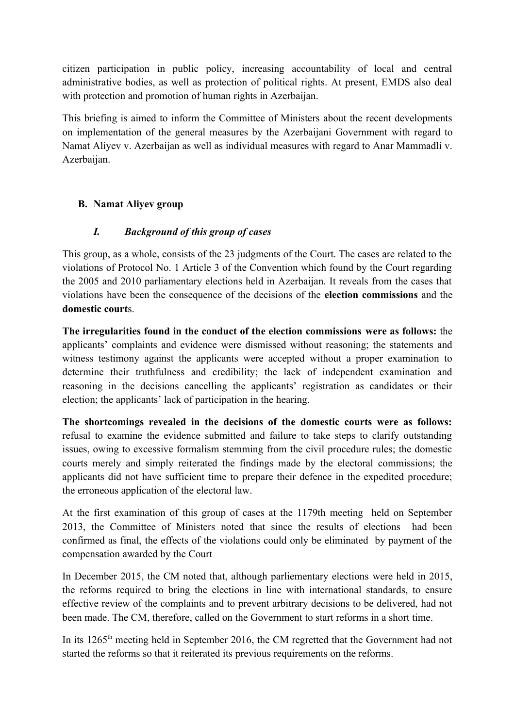citizen participation in public policy, increasing accountability of local and central administrative bodies, as well as protection of political rights. At present, EMDS also deal with protection and promotion of human rights in Azerbaijan.

This briefing is aimed to inform the Committee of Ministers about the recent developments on implementation of the general measures by the Azerbaijani Government with regard to Namat Aliyev v. Azerbaijan as well as individual measures with regard to Anar Mammadli v. Azerbaijan.

## **B. Namat Aliyev group**

## *I. Background of this group of cases*

This group, as a whole, consists of the 23 judgments of the Court. The cases are related to the violations of Protocol No. 1 Article 3 of the Convention which found by the Court regarding the 2005 and 2010 parliamentary elections held in Azerbaijan. It reveals from the cases that violations have been the consequence of the decisions of the **election commissions** and the **domestic court**s.

**The irregularities found in the conduct of the election commissions were as follows:** the applicants' complaints and evidence were dismissed without reasoning; the statements and witness testimony against the applicants were accepted without a proper examination to determine their truthfulness and credibility; the lack of independent examination and reasoning in the decisions cancelling the applicants' registration as candidates or their election; the applicants' lack of participation in the hearing.

**The shortcomings revealed in the decisions of the domestic courts were as follows:** refusal to examine the evidence submitted and failure to take steps to clarify outstanding issues, owing to excessive formalism stemming from the civil procedure rules; the domestic courts merely and simply reiterated the findings made by the electoral commissions; the applicants did not have sufficient time to prepare their defence in the expedited procedure; the erroneous application of the electoral law.

At the first examination of this group of cases at the 1179th meeting held on September 2013, the Committee of Ministers noted that since the results of elections had been confirmed as final, the effects of the violations could only be eliminated by payment of the compensation awarded by the Court

In December 2015, the CM noted that, although parliementary elections were held in 2015, the reforms required to bring the elections in line with international standards, to ensure effective review of the complaints and to prevent arbitrary decisions to be delivered, had not been made. The CM, therefore, called on the Government to start reforms in a short time.

In its  $1265<sup>th</sup>$  meeting held in September 2016, the CM regretted that the Government had not started the reforms so that it reiterated its previous requirements on the reforms.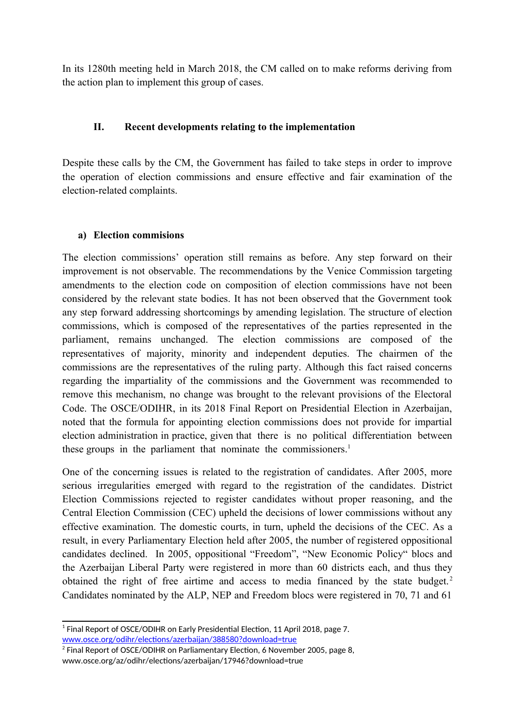In its 1280th meeting held in March 2018, the CM called on to make reforms deriving from the action plan to implement this group of cases.

#### **II. Recent developments relating to the implementation**

Despite these calls by the CM, the Government has failed to take steps in order to improve the operation of election commissions and ensure effective and fair examination of the election-related complaints.

#### **a) Election commisions**

The election commissions' operation still remains as before. Any step forward on their improvement is not observable. The recommendations by the Venice Commission targeting amendments to the election code on composition of election commissions have not been considered by the relevant state bodies. It has not been observed that the Government took any step forward addressing shortcomings by amending legislation. The structure of election commissions, which is composed of the representatives of the parties represented in the parliament, remains unchanged. The election commissions are composed of the representatives of majority, minority and independent deputies. The chairmen of the commissions are the representatives of the ruling party. Although this fact raised concerns regarding the impartiality of the commissions and the Government was recommended to remove this mechanism, no change was brought to the relevant provisions of the Electoral Code. The OSCE/ODIHR, in its 2018 Final Report on Presidential Election in Azerbaijan, noted that the formula for appointing election commissions does not provide for impartial election administration in practice, given that there is no political differentiation between these groups in the parliament that nominate the commissioners.<sup>[1](#page-2-0)</sup>

One of the concerning issues is related to the registration of candidates. After 2005, more serious irregularities emerged with regard to the registration of the candidates. District Election Commissions rejected to register candidates without proper reasoning, and the Central Election Commission (CEC) upheld the decisions of lower commissions without any effective examination. The domestic courts, in turn, upheld the decisions of the CEC. As a result, in every Parliamentary Election held after 2005, the number of registered oppositional candidates declined. In 2005, oppositional "Freedom", "New Economic Policy" blocs and the Azerbaijan Liberal Party were registered in more than 60 districts each, and thus they obtained the right of free airtime and access to media financed by the state budget.<sup>[2](#page-2-1)</sup> Candidates nominated by the ALP, NEP and Freedom blocs were registered in 70, 71 and 61

<span id="page-2-0"></span> $^1$  Final Report of OSCE/ODIHR on Early Presidential Election, 11 April 2018, page 7. [www.osce.org/odihr/elections/azerbaijan/388580?download=true](http://www.osce.org/odihr/elections/azerbaijan/388580?download=true)

<span id="page-2-1"></span> $^2$  Final Report of OSCE/ODIHR on Parliamentary Election, 6 November 2005, page 8, www.osce.org/az/odihr/elections/azerbaijan/17946?download=true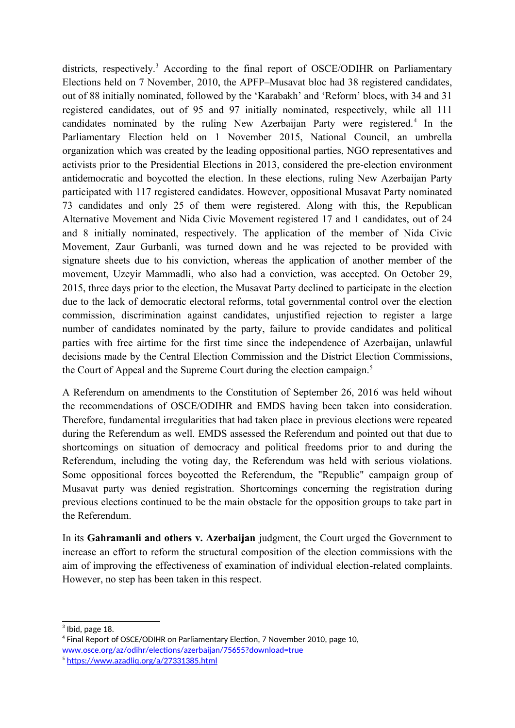districts, respectively.<sup>[3](#page-3-0)</sup> According to the final report of OSCE/ODIHR on Parliamentary Elections held on 7 November, 2010, the APFP–Musavat bloc had 38 registered candidates, out of 88 initially nominated, followed by the 'Karabakh' and 'Reform' blocs, with 34 and 31 registered candidates, out of 95 and 97 initially nominated, respectively, while all 111 candidates nominated by the ruling New Azerbaijan Party were registered.<sup>[4](#page-3-1)</sup> In the Parliamentary Election held on 1 November 2015, National Council, an umbrella organization which was created by the leading oppositional parties, NGO representatives and activists prior to the Presidential Elections in 2013, considered the pre-election environment antidemocratic and boycotted the election. In these elections, ruling New Azerbaijan Party participated with 117 registered candidates. However, oppositional Musavat Party nominated 73 candidates and only 25 of them were registered. Along with this, the Republican Alternative Movement and Nida Civic Movement registered 17 and 1 candidates, out of 24 and 8 initially nominated, respectively. The application of the member of Nida Civic Movement, Zaur Gurbanli, was turned down and he was rejected to be provided with signature sheets due to his conviction, whereas the application of another member of the movement, Uzeyir Mammadli, who also had a conviction, was accepted. On October 29, 2015, three days prior to the election, the Musavat Party declined to participate in the election due to the lack of democratic electoral reforms, total governmental control over the election commission, discrimination against candidates, unjustified rejection to register a large number of candidates nominated by the party, failure to provide candidates and political parties with free airtime for the first time since the independence of Azerbaijan, unlawful decisions made by the Central Election Commission and the District Election Commissions, the Court of Appeal and the Supreme Court during the election campaign.<sup>[5](#page-3-2)</sup>

A Referendum on amendments to the Constitution of September 26, 2016 was held wihout the recommendations of OSCE/ODIHR and EMDS having been taken into consideration. Therefore, fundamental irregularities that had taken place in previous elections were repeated during the Referendum as well. EMDS assessed the Referendum and pointed out that due to shortcomings on situation of democracy and political freedoms prior to and during the Referendum, including the voting day, the Referendum was held with serious violations. Some oppositional forces boycotted the Referendum, the "Republic" campaign group of Musavat party was denied registration. Shortcomings concerning the registration during previous elections continued to be the main obstacle for the opposition groups to take part in the Referendum.

In its **Gahramanli and others v. Azerbaijan** judgment, the Court urged the Government to increase an effort to reform the structural composition of the election commissions with the aim of improving the effectiveness of examination of individual election-related complaints. However, no step has been taken in this respect.

<span id="page-3-0"></span> $3$  Ibid, page 18.

<span id="page-3-1"></span><sup>4</sup> Final Report of OSCE/ODIHR on Parliamentary Election, 7 November 2010, page 10, [www.osce.org/az/odihr/elections/azerbaijan/75655?download=true](http://www.osce.org/az/odihr/elections/azerbaijan/75655?download=true)

<span id="page-3-2"></span><sup>5</sup> <https://www.azadliq.org/a/27331385.html>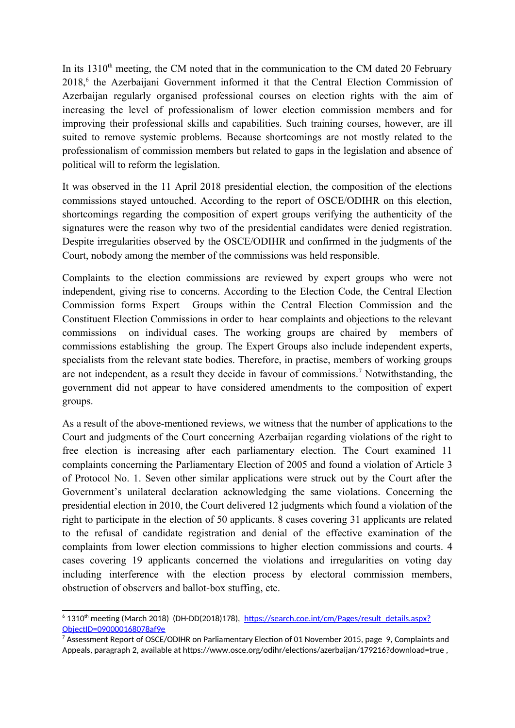In its  $1310<sup>th</sup>$  meeting, the CM noted that in the communication to the CM dated 20 February 2018,<sup>[6](#page-4-0)</sup> the Azerbaijani Government informed it that the Central Election Commission of Azerbaijan regularly organised professional courses on election rights with the aim of increasing the level of professionalism of lower election commission members and for improving their professional skills and capabilities. Such training courses, however, are ill suited to remove systemic problems. Because shortcomings are not mostly related to the professionalism of commission members but related to gaps in the legislation and absence of political will to reform the legislation.

It was observed in the 11 April 2018 presidential election, the composition of the elections commissions stayed untouched. According to the report of OSCE/ODIHR on this election, shortcomings regarding the composition of expert groups verifying the authenticity of the signatures were the reason why two of the presidential candidates were denied registration. Despite irregularities observed by the OSCE/ODIHR and confirmed in the judgments of the Court, nobody among the member of the commissions was held responsible.

Complaints to the election commissions are reviewed by expert groups who were not independent, giving rise to concerns. According to the Election Code, the Central Election Commission forms Expert Groups within the Central Election Commission and the Constituent Election Commissions in order to hear complaints and objections to the relevant commissions on individual cases. The working groups are chaired by members of commissions establishing the group. The Expert Groups also include independent experts, specialists from the relevant state bodies. Therefore, in practise, members of working groups are not independent, as a result they decide in favour of commissions.<sup>[7](#page-4-1)</sup> Notwithstanding, the government did not appear to have considered amendments to the composition of expert groups.

As a result of the above-mentioned reviews, we witness that the number of applications to the Court and judgments of the Court concerning Azerbaijan regarding violations of the right to free election is increasing after each parliamentary election. The Court examined 11 complaints concerning the Parliamentary Election of 2005 and found a violation of Article 3 of Protocol No. 1. Seven other similar applications were struck out by the Court after the Government's unilateral declaration acknowledging the same violations. Concerning the presidential election in 2010, the Court delivered 12 judgments which found a violation of the right to participate in the election of 50 applicants. 8 cases covering 31 applicants are related to the refusal of candidate registration and denial of the effective examination of the complaints from lower election commissions to higher election commissions and courts. 4 cases covering 19 applicants concerned the violations and irregularities on voting day including interference with the election process by electoral commission members, obstruction of observers and ballot-box stuffing, etc.

<span id="page-4-0"></span> $^{\circ}$  1310<sup>th</sup> meeting (March 2018) (DH-DD(2018)178), <u>https://search.coe.int/cm/Pages/result details.aspx?</u> [ObjectID=090000168078af9e](https://search.coe.int/cm/Pages/result_details.aspx?ObjectID=090000168078af9e)

<span id="page-4-1"></span> $^7$  Assessment Report of OSCE/ODIHR on Parliamentary Election of 01 November 2015, page 9, Complaints and Appeals, paragraph 2, available at https://www.osce.org/odihr/elections/azerbaijan/179216?download=true ,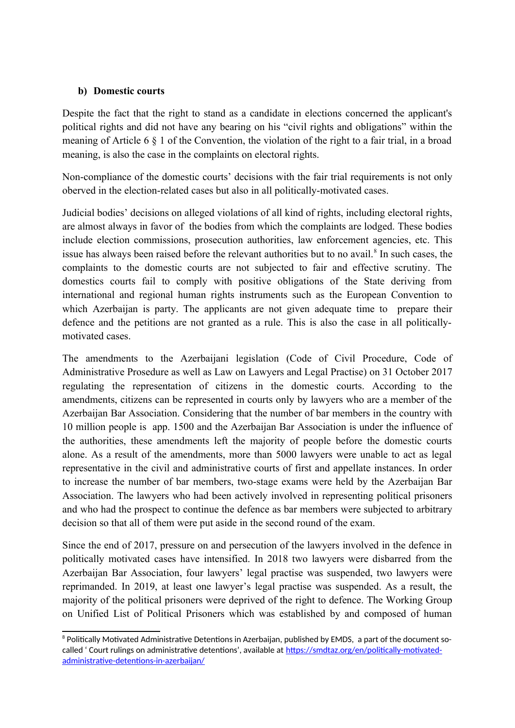#### **b) Domestic courts**

Despite the fact that the right to stand as a candidate in elections concerned the applicant's political rights and did not have any bearing on his "civil rights and obligations" within the meaning of Article 6 § 1 of the Convention, the violation of the right to a fair trial, in a broad meaning, is also the case in the complaints on electoral rights.

Non-compliance of the domestic courts' decisions with the fair trial requirements is not only oberved in the election-related cases but also in all politically-motivated cases.

Judicial bodies' decisions on alleged violations of all kind of rights, including electoral rights, are almost always in favor of the bodies from which the complaints are lodged. These bodies include election commissions, prosecution authorities, law enforcement agencies, etc. This issue has always been raised before the relevant authorities but to no avail. $^8$  $^8$  In such cases, the complaints to the domestic courts are not subjected to fair and effective scrutiny. The domestics courts fail to comply with positive obligations of the State deriving from international and regional human rights instruments such as the European Convention to which Azerbaijan is party. The applicants are not given adequate time to prepare their defence and the petitions are not granted as a rule. This is also the case in all politicallymotivated cases.

The amendments to the Azerbaijani legislation (Code of Civil Procedure, Code of Administrative Prosedure as well as Law on Lawyers and Legal Practise) on 31 October 2017 regulating the representation of citizens in the domestic courts. According to the amendments, citizens can be represented in courts only by lawyers who are a member of the Azerbaijan Bar Association. Considering that the number of bar members in the country with 10 million people is app. 1500 and the Azerbaijan Bar Association is under the influence of the authorities, these amendments left the majority of people before the domestic courts alone. As a result of the amendments, more than 5000 lawyers were unable to act as legal representative in the civil and administrative courts of first and appellate instances. In order to increase the number of bar members, two-stage exams were held by the Azerbaijan Bar Association. The lawyers who had been actively involved in representing political prisoners and who had the prospect to continue the defence as bar members were subjected to arbitrary decision so that all of them were put aside in the second round of the exam.

Since the end of 2017, pressure on and persecution of the lawyers involved in the defence in politically motivated cases have intensified. In 2018 two lawyers were disbarred from the Azerbaijan Bar Association, four lawyers' legal practise was suspended, two lawyers were reprimanded. In 2019, at least one lawyer's legal practise was suspended. As a result, the majority of the political prisoners were deprived of the right to defence. The Working Group on Unified List of Political Prisoners which was established by and composed of human

<span id="page-5-0"></span> $^{\rm 8}$  Politically Motivated Administrative Detentions in Azerbaijan, published by EMDS,  $\,$  a part of the document socalled ' Court rulings on administrative detentions', available at [https://smdtaz.org/en/politically-motivated](https://smdtaz.org/en/politically-motivated-administrative-detentions-in-azerbaijan/)[administrative-detentions-in-azerbaijan/](https://smdtaz.org/en/politically-motivated-administrative-detentions-in-azerbaijan/)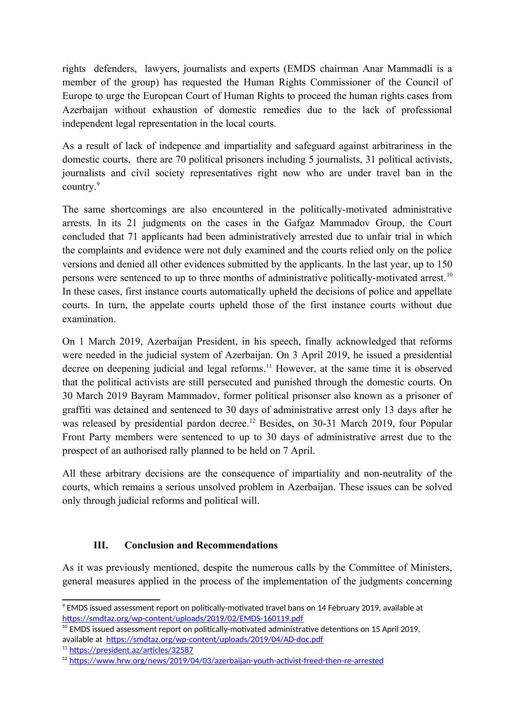rights defenders, lawyers, journalists and experts (EMDS chairman Anar Mammadli is a member of the group) has requested the Human Rights Commissioner of the Council of Europe to urge the European Court of Human Rights to proceed the human rights cases from Azerbaijan without exhaustion of domestic remedies due to the lack of professional independent legal representation in the local courts.

As a result of lack of indepence and impartiality and safeguard against arbitrariness in the domestic courts, there are 70 political prisoners including 5 journalists, 31 political activists, journalists and civil society representatives right now who are under travel ban in the country.[9](#page-6-0)

The same shortcomings are also encountered in the politically-motivated administrative arrests. In its 21 judgments on the cases in the Gafgaz Mammadov Group, the Court concluded that 71 applicants had been administratively arrested due to unfair trial in which the complaints and evidence were not duly examined and the courts relied only on the police versions and denied all other evidences submitted by the applicants. In the last year, up to 150 persons were sentenced to up to three months of administrative politically-motivated arrest.<sup>[10](#page-6-1)</sup> In these cases, first instance courts automatically upheld the decisions of police and appellate courts. In turn, the appelate courts upheld those of the first instance courts without due examination.

On 1 March 2019, Azerbaijan President, in his speech, finally acknowledged that reforms were needed in the judicial system of Azerbaijan. On 3 April 2019, he issued a presidential decree on deepening judicial and legal reforms.<sup>[11](#page-6-2)</sup> However, at the same time it is observed that the political activists are still persecuted and punished through the domestic courts. On 30 March 2019 Bayram Mammadov, former political prisonser also known as a prisoner of graffiti was detained and sentenced to 30 days of administrative arrest only 13 days after he was released by presidential pardon decree.<sup>[12](#page-6-3)</sup> Besides, on 30-31 March 2019, four Popular Front Party members were sentenced to up to 30 days of administrative arrest due to the prospect of an authorised rally planned to be held on 7 April.

All these arbitrary decisions are the consequence of impartiality and non-neutrality of the courts, which remains a serious unsolved problem in Azerbaijan. These issues can be solved only through judicial reforms and political will.

## **III. Conclusion and Recommendations**

As it was previously mentioned, despite the numerous calls by the Committee of Ministers, general measures applied in the process of the implementation of the judgments concerning

<span id="page-6-0"></span> $^{\circ}$  EMDS issued assessment report on politically-motivated travel bans on 14 February 2019, available at <https://smdtaz.org/wp-content/uploads/2019/02/EMDS-160119.pdf>

<span id="page-6-1"></span> $10$  EMDS issued assessment report on politically-motivated administrative detentions on 15 April 2019, available at <https://smdtaz.org/wp-content/uploads/2019/04/AD-doc.pdf>

<span id="page-6-2"></span><sup>11</sup> <https://president.az/articles/32587>

<span id="page-6-3"></span><sup>12</sup> <https://www.hrw.org/news/2019/04/03/azerbaijan-youth-activist-freed-then-re-arrested>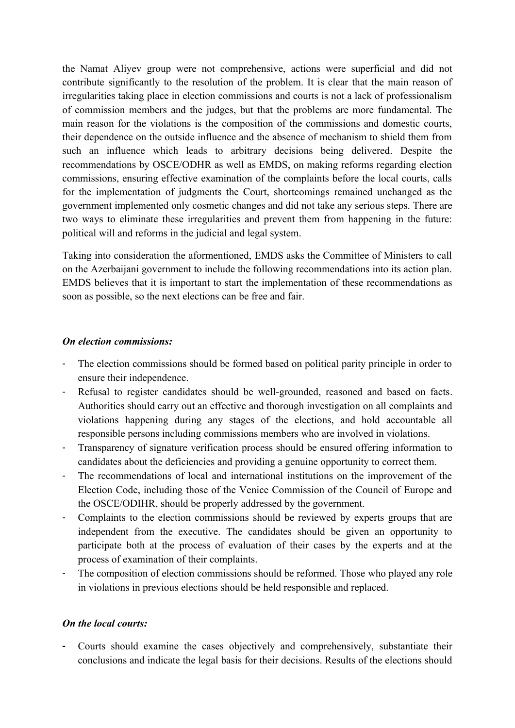the Namat Aliyev group were not comprehensive, actions were superficial and did not contribute significantly to the resolution of the problem. It is clear that the main reason of irregularities taking place in election commissions and courts is not a lack of professionalism of commission members and the judges, but that the problems are more fundamental. The main reason for the violations is the composition of the commissions and domestic courts, their dependence on the outside influence and the absence of mechanism to shield them from such an influence which leads to arbitrary decisions being delivered. Despite the recommendations by OSCE/ODHR as well as EMDS, on making reforms regarding election commissions, ensuring effective examination of the complaints before the local courts, calls for the implementation of judgments the Court, shortcomings remained unchanged as the government implemented only cosmetic changes and did not take any serious steps. There are two ways to eliminate these irregularities and prevent them from happening in the future: political will and reforms in the judicial and legal system.

Taking into consideration the aformentioned, EMDS asks the Committee of Ministers to call on the Azerbaijani government to include the following recommendations into its action plan. EMDS believes that it is important to start the implementation of these recommendations as soon as possible, so the next elections can be free and fair.

#### *On election commissions:*

- The election commissions should be formed based on political parity principle in order to ensure their independence.
- Refusal to register candidates should be well-grounded, reasoned and based on facts. Authorities should carry out an effective and thorough investigation on all complaints and violations happening during any stages of the elections, and hold accountable all responsible persons including commissions members who are involved in violations.
- Transparency of signature verification process should be ensured offering information to candidates about the deficiencies and providing a genuine opportunity to correct them.
- The recommendations of local and international institutions on the improvement of the Election Code, including those of the Venice Commission of the Council of Europe and the OSCE/ODIHR, should be properly addressed by the government.
- Complaints to the election commissions should be reviewed by experts groups that are independent from the executive. The candidates should be given an opportunity to participate both at the process of evaluation of their cases by the experts and at the process of examination of their complaints.
- The composition of election commissions should be reformed. Those who played any role in violations in previous elections should be held responsible and replaced.

## *On the local courts:*

**-** Courts should examine the cases objectively and comprehensively, substantiate their conclusions and indicate the legal basis for their decisions. Results of the elections should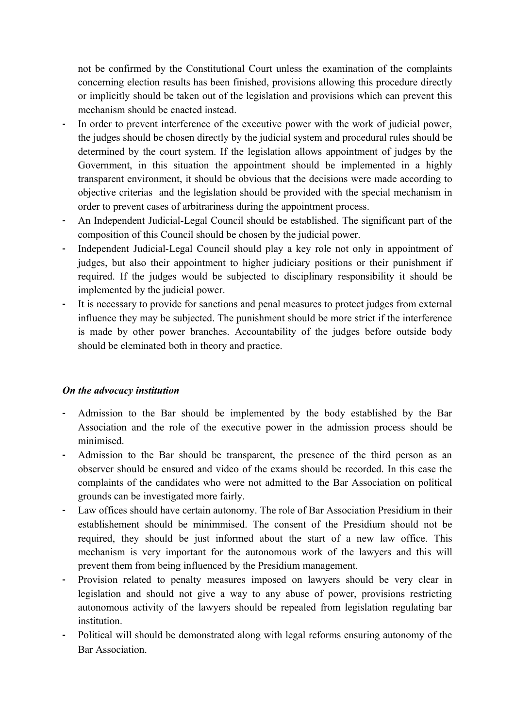not be confirmed by the Constitutional Court unless the examination of the complaints concerning election results has been finished, provisions allowing this procedure directly or implicitly should be taken out of the legislation and provisions which can prevent this mechanism should be enacted instead.

- *-* In order to prevent interference of the executive power with the work of judicial power, the judges should be chosen directly by the judicial system and procedural rules should be determined by the court system. If the legislation allows appointment of judges by the Government, in this situation the appointment should be implemented in a highly transparent environment, it should be obvious that the decisions were made according to objective criterias and the legislation should be provided with the special mechanism in order to prevent cases of arbitrariness during the appointment process.
- **-** An Independent Judicial-Legal Council should be established. The significant part of the composition of this Council should be chosen by the judicial power.
- **-** Independent Judicial-Legal Council should play a key role not only in appointment of judges, but also their appointment to higher judiciary positions or their punishment if required. If the judges would be subjected to disciplinary responsibility it should be implemented by the judicial power.
- **-** It is necessary to provide for sanctions and penal measures to protect judges from external influence they may be subjected. The punishment should be more strict if the interference is made by other power branches. Accountability of the judges before outside body should be eleminated both in theory and practice.

## *On the advocacy institution*

- **-** Admission to the Bar should be implemented by the body established by the Bar Association and the role of the executive power in the admission process should be minimised.
- **-** Admission to the Bar should be transparent, the presence of the third person as an observer should be ensured and video of the exams should be recorded. In this case the complaints of the candidates who were not admitted to the Bar Association on political grounds can be investigated more fairly.
- **-** Law offices should have certain autonomy. The role of Bar Association Presidium in their establishement should be minimmised. The consent of the Presidium should not be required, they should be just informed about the start of a new law office. This mechanism is very important for the autonomous work of the lawyers and this will prevent them from being influenced by the Presidium management.
- **-** Provision related to penalty measures imposed on lawyers should be very clear in legislation and should not give a way to any abuse of power, provisions restricting autonomous activity of the lawyers should be repealed from legislation regulating bar *institution*
- **-** Political will should be demonstrated along with legal reforms ensuring autonomy of the Bar Association.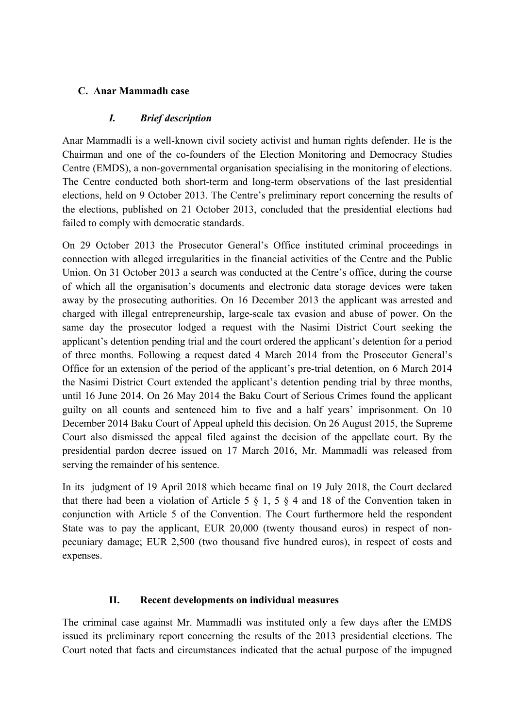## **C. Anar Mammadlı case**

## *I. Brief description*

Anar Mammadli is a well-known civil society activist and human rights defender. He is the Chairman and one of the co-founders of the Election Monitoring and Democracy Studies Centre (EMDS), a non-governmental organisation specialising in the monitoring of elections. The Centre conducted both short-term and long-term observations of the last presidential elections, held on 9 October 2013. The Centre's preliminary report concerning the results of the elections, published on 21 October 2013, concluded that the presidential elections had failed to comply with democratic standards.

On 29 October 2013 the Prosecutor General's Office instituted criminal proceedings in connection with alleged irregularities in the financial activities of the Centre and the Public Union. On 31 October 2013 a search was conducted at the Centre's office, during the course of which all the organisation's documents and electronic data storage devices were taken away by the prosecuting authorities. On 16 December 2013 the applicant was arrested and charged with illegal entrepreneurship, large-scale tax evasion and abuse of power. On the same day the prosecutor lodged a request with the Nasimi District Court seeking the applicant's detention pending trial and the court ordered the applicant's detention for a period of three months. Following a request dated 4 March 2014 from the Prosecutor General's Office for an extension of the period of the applicant's pre-trial detention, on 6 March 2014 the Nasimi District Court extended the applicant's detention pending trial by three months, until 16 June 2014. On 26 May 2014 the Baku Court of Serious Crimes found the applicant guilty on all counts and sentenced him to five and a half years' imprisonment. On 10 December 2014 Baku Court of Appeal upheld this decision. On 26 August 2015, the Supreme Court also dismissed the appeal filed against the decision of the appellate court. By the presidential pardon decree issued on 17 March 2016, Mr. Mammadli was released from serving the remainder of his sentence.

In its judgment of 19 April 2018 which became final on 19 July 2018, the Court declared that there had been a violation of Article 5  $\S$  1, 5  $\S$  4 and 18 of the Convention taken in conjunction with Article 5 of the Convention. The Court furthermore held the respondent State was to pay the applicant, EUR 20,000 (twenty thousand euros) in respect of nonpecuniary damage; EUR 2,500 (two thousand five hundred euros), in respect of costs and expenses.

## **II. Recent developments on individual measures**

The criminal case against Mr. Mammadli was instituted only a few days after the EMDS issued its preliminary report concerning the results of the 2013 presidential elections. The Court noted that facts and circumstances indicated that the actual purpose of the impugned